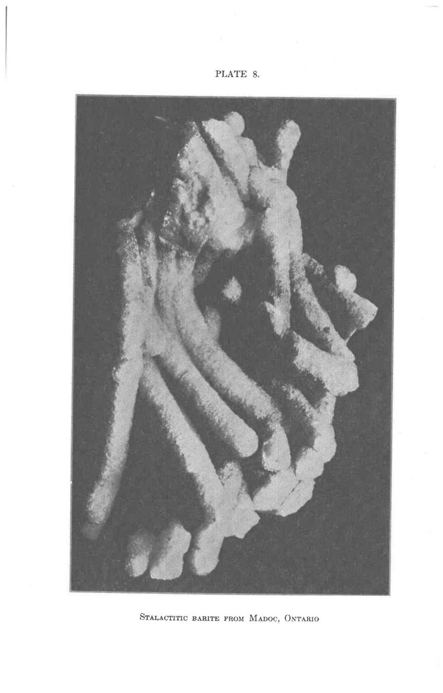

STALACTITIC BARITE FROM MADOC, ONTARIO

## PLATE 8.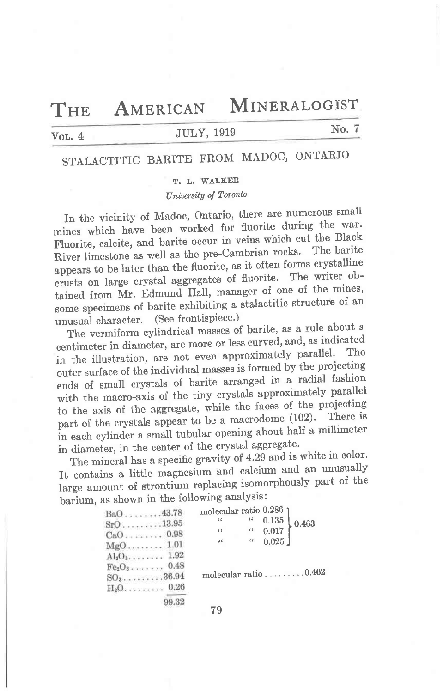${\bf T}$ HE

MINERALOGIST

### Vol.  $4$

### **JULY, 1919**

AMERICAN

### No. 7

# STALACTITIC BARITE FROM MADOC, ONTARIO

### T. L. WALKER

### University of Toronto

In the vicinity of Madoc, Ontario, there are numerous small mines which have been worked for fluorite during the war. Fluorite, calcite, and barite occur in veins which cut the Black River limestone as well as the pre-Cambrian rocks. The barite appears to be later than the fluorite, as it often forms crystalline crusts on large crystal aggregates of fluorite. The writer obtained from Mr. Edmund Hall, manager of one of the mines, some specimens of barite exhibiting a stalactitic structure of an unusual character. (See frontispiece.)

The vermiform cylindrical masses of barite, as a rule about a centimeter in diameter, are more or less curved, and, as indicated in the illustration, are not even approximately parallel. The outer surface of the individual masses is formed by the projecting ends of small crystals of barite arranged in a radial fashion with the macro-axis of the tiny crystals approximately parallel to the axis of the aggregate, while the faces of the projecting part of the crystals appear to be a macrodome (102). There is in each cylinder a small tubular opening about half a millimeter in diameter, in the center of the crystal aggregate.

The mineral has a specific gravity of 4.29 and is white in color. It contains a little magnesium and calcium and an unusually large amount of strontium replacing isomorphously part of the barium, as shown in the following analysis:

| $BaO$ 43.78    |       | molecular ratio 0.286       |                             |             |       |
|----------------|-------|-----------------------------|-----------------------------|-------------|-------|
| $SrO$ 13.95    |       | 66                          | $\pmb{\zeta}$ $\pmb{\zeta}$ | $\,0.135\,$ | 0.463 |
|                |       | $\pmb{\zeta}$ $\pmb{\zeta}$ |                             | (10, 0.017) |       |
| $MgO$ 1.01     |       | $\epsilon$ $\epsilon$       |                             | (6.025)     |       |
| $Al_2O_3$ 1.92 |       |                             |                             |             |       |
| $Fe2O3$ 0.48   |       |                             |                             |             |       |
| $SO_3$ 36.94   |       | molecular ratio 0.462       |                             |             |       |
| $H_2O$ 0.26    |       |                             |                             |             |       |
|                | 99.32 |                             |                             |             |       |

79